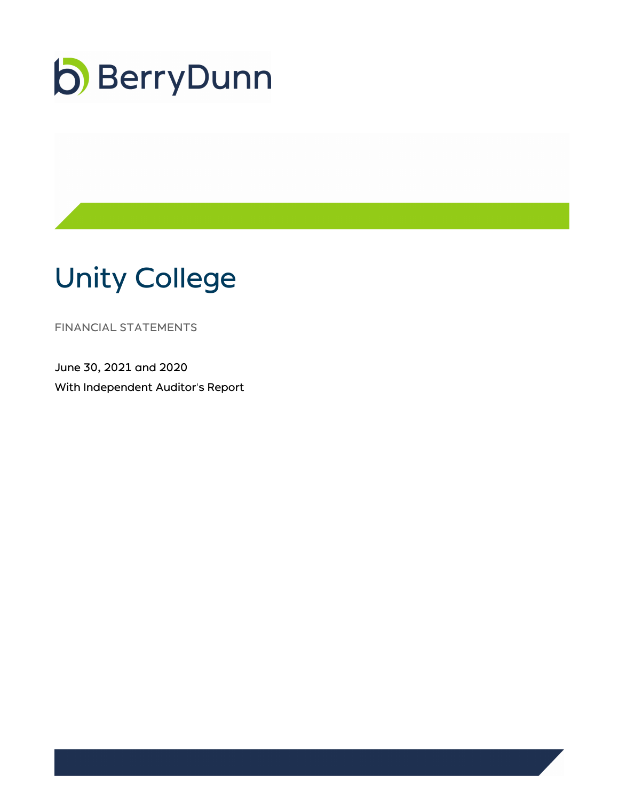

# Unity College

FINANCIAL STATEMENTS

June 30, 2021 and 2020 With Independent Auditor's Report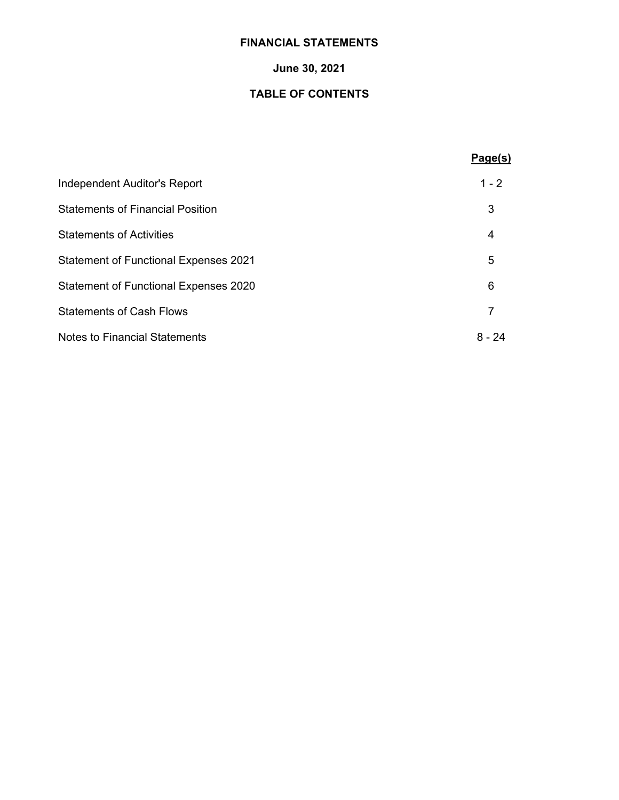# **FINANCIAL STATEMENTS**

# **June 30, 2021**

# **TABLE OF CONTENTS**

|                                              | Page(s) |
|----------------------------------------------|---------|
| Independent Auditor's Report                 | $1 - 2$ |
| <b>Statements of Financial Position</b>      | 3       |
| <b>Statements of Activities</b>              | 4       |
| <b>Statement of Functional Expenses 2021</b> | 5       |
| <b>Statement of Functional Expenses 2020</b> | 6       |
| <b>Statements of Cash Flows</b>              |         |
| <b>Notes to Financial Statements</b>         | 8 - 24  |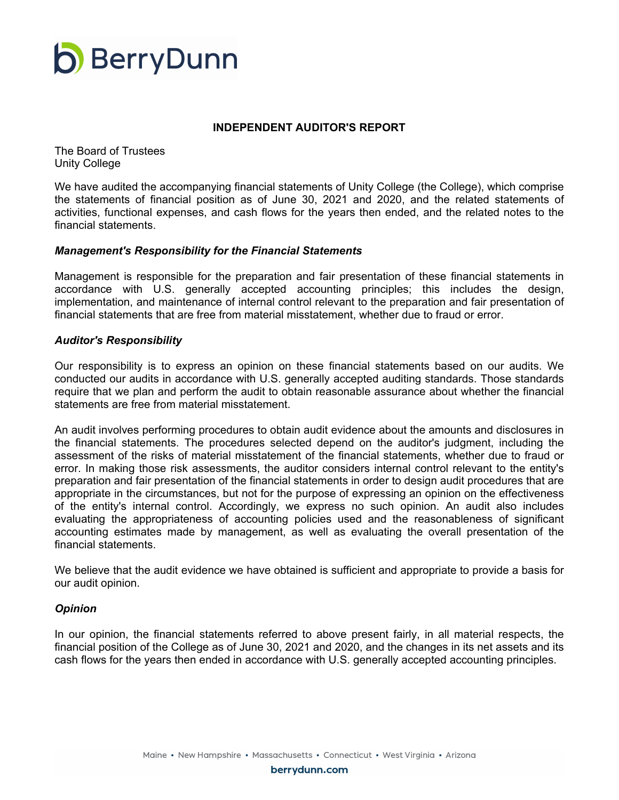

#### **INDEPENDENT AUDITOR'S REPORT**

The Board of Trustees Unity College

We have audited the accompanying financial statements of Unity College (the College), which comprise the statements of financial position as of June 30, 2021 and 2020, and the related statements of activities, functional expenses, and cash flows for the years then ended, and the related notes to the financial statements.

#### *Management's Responsibility for the Financial Statements*

Management is responsible for the preparation and fair presentation of these financial statements in accordance with U.S. generally accepted accounting principles; this includes the design, implementation, and maintenance of internal control relevant to the preparation and fair presentation of financial statements that are free from material misstatement, whether due to fraud or error.

#### *Auditor's Responsibility*

Our responsibility is to express an opinion on these financial statements based on our audits. We conducted our audits in accordance with U.S. generally accepted auditing standards. Those standards require that we plan and perform the audit to obtain reasonable assurance about whether the financial statements are free from material misstatement.

An audit involves performing procedures to obtain audit evidence about the amounts and disclosures in the financial statements. The procedures selected depend on the auditor's judgment, including the assessment of the risks of material misstatement of the financial statements, whether due to fraud or error. In making those risk assessments, the auditor considers internal control relevant to the entity's preparation and fair presentation of the financial statements in order to design audit procedures that are appropriate in the circumstances, but not for the purpose of expressing an opinion on the effectiveness of the entity's internal control. Accordingly, we express no such opinion. An audit also includes evaluating the appropriateness of accounting policies used and the reasonableness of significant accounting estimates made by management, as well as evaluating the overall presentation of the financial statements.

We believe that the audit evidence we have obtained is sufficient and appropriate to provide a basis for our audit opinion.

#### *Opinion*

In our opinion, the financial statements referred to above present fairly, in all material respects, the financial position of the College as of June 30, 2021 and 2020, and the changes in its net assets and its cash flows for the years then ended in accordance with U.S. generally accepted accounting principles.

berrydunn.com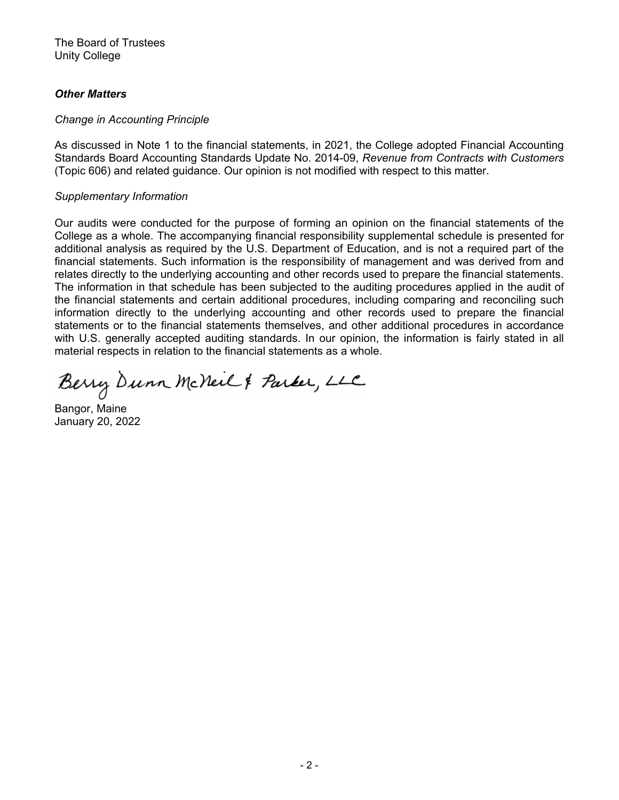The Board of Trustees Unity College

# *Other Matters*

#### *Change in Accounting Principle*

As discussed in Note 1 to the financial statements, in 2021, the College adopted Financial Accounting Standards Board Accounting Standards Update No. 2014-09, *Revenue from Contracts with Customers* (Topic 606) and related guidance. Our opinion is not modified with respect to this matter.

#### *Supplementary Information*

Our audits were conducted for the purpose of forming an opinion on the financial statements of the College as a whole. The accompanying financial responsibility supplemental schedule is presented for additional analysis as required by the U.S. Department of Education, and is not a required part of the financial statements. Such information is the responsibility of management and was derived from and relates directly to the underlying accounting and other records used to prepare the financial statements. The information in that schedule has been subjected to the auditing procedures applied in the audit of the financial statements and certain additional procedures, including comparing and reconciling such information directly to the underlying accounting and other records used to prepare the financial statements or to the financial statements themselves, and other additional procedures in accordance with U.S. generally accepted auditing standards. In our opinion, the information is fairly stated in all material respects in relation to the financial statements as a whole.

Berry Dunn McNeil & Parker, LLC

Bangor, Maine January 20, 2022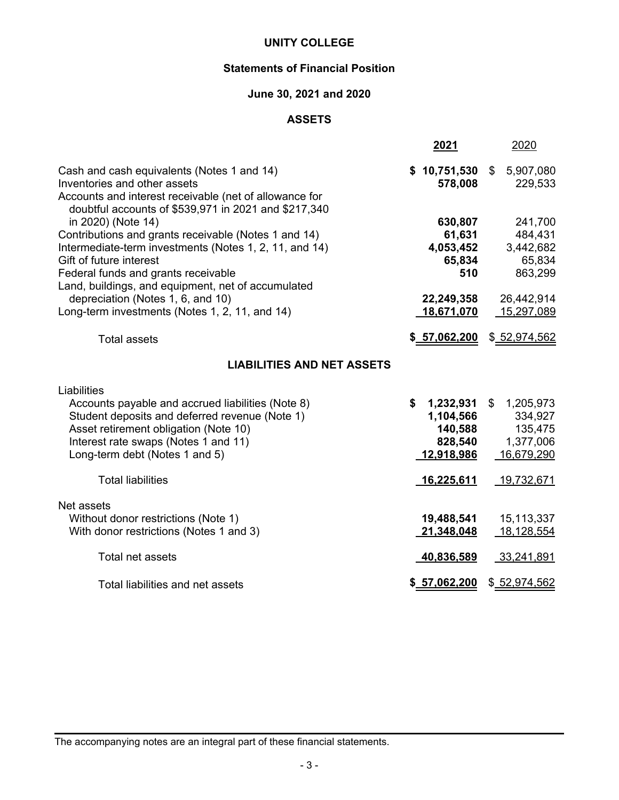# **Statements of Financial Position**

# **June 30, 2021 and 2020**

## **ASSETS**

|                                                                                                                                                                                              | 2021                    | 2020                   |
|----------------------------------------------------------------------------------------------------------------------------------------------------------------------------------------------|-------------------------|------------------------|
| Cash and cash equivalents (Notes 1 and 14)<br>Inventories and other assets<br>Accounts and interest receivable (net of allowance for<br>doubtful accounts of \$539,971 in 2021 and \$217,340 | \$10,751,530<br>578,008 | \$5,907,080<br>229,533 |
| in 2020) (Note 14)                                                                                                                                                                           | 630,807                 | 241,700                |
| Contributions and grants receivable (Notes 1 and 14)                                                                                                                                         | 61,631                  | 484,431                |
| Intermediate-term investments (Notes 1, 2, 11, and 14)                                                                                                                                       | 4,053,452               | 3,442,682              |
| Gift of future interest                                                                                                                                                                      | 65,834<br>510           | 65,834                 |
| Federal funds and grants receivable<br>Land, buildings, and equipment, net of accumulated                                                                                                    |                         | 863,299                |
| depreciation (Notes 1, 6, and 10)                                                                                                                                                            | 22,249,358              | 26,442,914             |
| Long-term investments (Notes 1, 2, 11, and 14)                                                                                                                                               | 18,671,070              | 15,297,089             |
|                                                                                                                                                                                              |                         |                        |
| <b>Total assets</b>                                                                                                                                                                          | \$57,062,200            | \$52,974,562           |
| <b>LIABILITIES AND NET ASSETS</b>                                                                                                                                                            |                         |                        |
| Liabilities                                                                                                                                                                                  |                         |                        |
| Accounts payable and accrued liabilities (Note 8)                                                                                                                                            | \$<br>1,232,931         | \$1,205,973            |
| Student deposits and deferred revenue (Note 1)                                                                                                                                               | 1,104,566               | 334,927                |
| Asset retirement obligation (Note 10)                                                                                                                                                        | 140,588                 | 135,475                |
| Interest rate swaps (Notes 1 and 11)                                                                                                                                                         | 828,540                 | 1,377,006              |
| Long-term debt (Notes 1 and 5)                                                                                                                                                               | 12,918,986              | 16,679,290             |
| <b>Total liabilities</b>                                                                                                                                                                     | 16,225,611              | 19,732,671             |
|                                                                                                                                                                                              |                         |                        |
| Net assets                                                                                                                                                                                   |                         |                        |
| Without donor restrictions (Note 1)                                                                                                                                                          | 19,488,541              | 15, 113, 337           |
| With donor restrictions (Notes 1 and 3)                                                                                                                                                      | 21,348,048              | 18,128,554             |
| Total net assets                                                                                                                                                                             | <u>40,836,589</u>       | <u>33,241,891</u>      |
|                                                                                                                                                                                              |                         |                        |
| Total liabilities and net assets                                                                                                                                                             | \$57,062,200            | \$52,974,562           |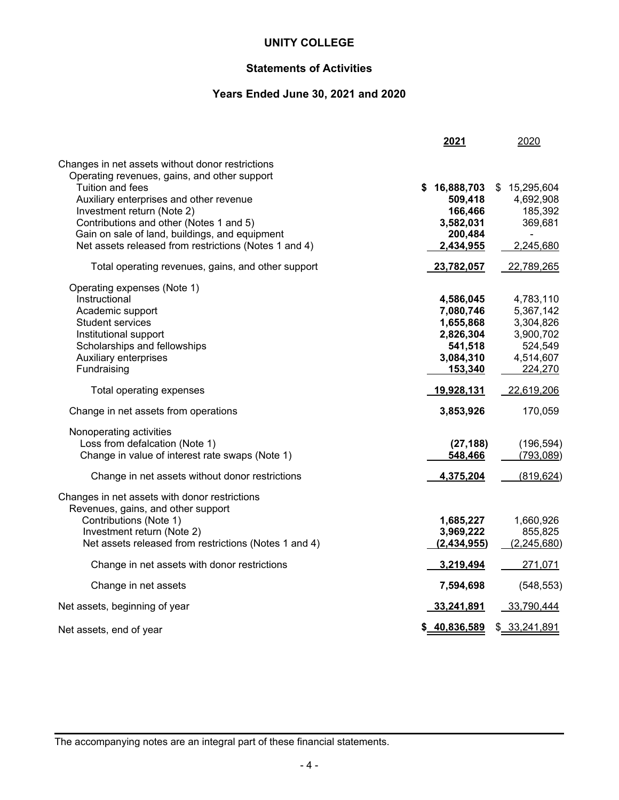# **Statements of Activities**

# **Years Ended June 30, 2021 and 2020**

|                                                                                                                                                                                                                                                                                                                                                     | 2021                                                                                | 2020                                                                                     |
|-----------------------------------------------------------------------------------------------------------------------------------------------------------------------------------------------------------------------------------------------------------------------------------------------------------------------------------------------------|-------------------------------------------------------------------------------------|------------------------------------------------------------------------------------------|
| Changes in net assets without donor restrictions<br>Operating revenues, gains, and other support<br>Tuition and fees<br>Auxiliary enterprises and other revenue<br>Investment return (Note 2)<br>Contributions and other (Notes 1 and 5)<br>Gain on sale of land, buildings, and equipment<br>Net assets released from restrictions (Notes 1 and 4) | 16,888,703<br>S<br>509,418<br>166,466<br>3,582,031<br>200,484<br>2,434,955          | \$15,295,604<br>4,692,908<br>185,392<br>369,681<br>$\overline{\phantom{0}}$<br>2,245,680 |
| Total operating revenues, gains, and other support                                                                                                                                                                                                                                                                                                  | 23,782,057                                                                          | 22,789,265                                                                               |
| Operating expenses (Note 1)<br>Instructional<br>Academic support<br><b>Student services</b><br>Institutional support<br>Scholarships and fellowships<br><b>Auxiliary enterprises</b><br>Fundraising                                                                                                                                                 | 4,586,045<br>7,080,746<br>1,655,868<br>2,826,304<br>541,518<br>3,084,310<br>153,340 | 4,783,110<br>5,367,142<br>3,304,826<br>3,900,702<br>524,549<br>4,514,607<br>224,270      |
| Total operating expenses                                                                                                                                                                                                                                                                                                                            | 19,928,131                                                                          | 22,619,206                                                                               |
| Change in net assets from operations                                                                                                                                                                                                                                                                                                                | 3,853,926                                                                           | 170,059                                                                                  |
| Nonoperating activities<br>Loss from defalcation (Note 1)<br>Change in value of interest rate swaps (Note 1)<br>Change in net assets without donor restrictions                                                                                                                                                                                     | (27, 188)<br>548,466<br>4,375,204                                                   | (196, 594)<br>(793, 089)<br>(819, 624)                                                   |
| Changes in net assets with donor restrictions<br>Revenues, gains, and other support<br>Contributions (Note 1)<br>Investment return (Note 2)<br>Net assets released from restrictions (Notes 1 and 4)                                                                                                                                                | 1,685,227<br>3,969,222<br>(2,434,955)                                               | 1,660,926<br>855,825<br>(2,245,680)                                                      |
| Change in net assets with donor restrictions                                                                                                                                                                                                                                                                                                        | 3,219,494                                                                           | 271,071                                                                                  |
| Change in net assets                                                                                                                                                                                                                                                                                                                                | 7,594,698                                                                           | (548, 553)                                                                               |
| Net assets, beginning of year                                                                                                                                                                                                                                                                                                                       | 33,241,891                                                                          | 33,790,444                                                                               |
| Net assets, end of year                                                                                                                                                                                                                                                                                                                             | \$ 40,836,589                                                                       | \$ 33,241,891                                                                            |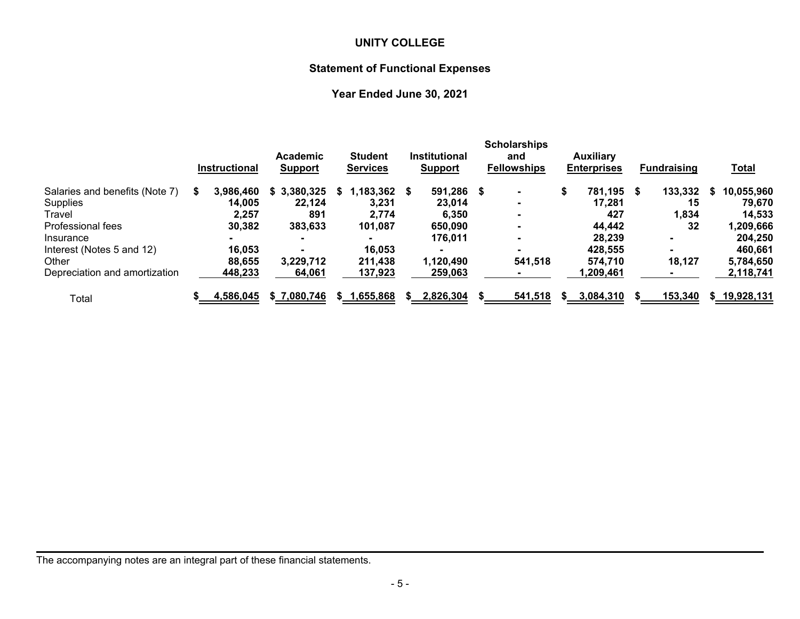# **Statement of Functional Expenses**

# **Year Ended June 30, 2021**

|                                | <b>Instructional</b> | Academic<br><b>Support</b> |     | <b>Student</b><br><b>Services</b> |      | <b>Institutional</b><br><b>Support</b> | <b>Scholarships</b><br>and<br><b>Fellowships</b> |   | <b>Auxiliary</b><br><b>Enterprises</b> | <b>Fundraising</b> |    | <u>Total</u> |
|--------------------------------|----------------------|----------------------------|-----|-----------------------------------|------|----------------------------------------|--------------------------------------------------|---|----------------------------------------|--------------------|----|--------------|
| Salaries and benefits (Note 7) | 3.986.460            | \$3,380,325                | S.  | 1,183,362                         | - 56 | 591,286 \$                             |                                                  |   | 781,195 \$                             | 133,332            | S  | 10,055,960   |
| <b>Supplies</b>                | 14,005               | 22,124                     |     | 3,231                             |      | 23.014                                 | $\blacksquare$                                   |   | 17,281                                 | 15                 |    | 79,670       |
| Travel                         | 2.257                | 891                        |     | 2.774                             |      | 6,350                                  |                                                  |   | 427                                    | 1,834              |    | 14,533       |
| Professional fees              | 30,382               | 383,633                    |     | 101,087                           |      | 650,090                                |                                                  |   | 44,442                                 | 32                 |    | 1,209,666    |
| Insurance                      |                      | ۰.                         |     |                                   |      | 176.011                                |                                                  |   | 28.239                                 | $\blacksquare$     |    | 204,250      |
| Interest (Notes 5 and 12)      | 16,053               |                            |     | 16,053                            |      |                                        |                                                  |   | 428,555                                |                    |    | 460,661      |
| Other                          | 88.655               | 3,229,712                  |     | 211,438                           |      | 1,120,490                              | 541,518                                          |   | 574.710                                | 18,127             |    | 5,784,650    |
| Depreciation and amortization  | 448.233              | 64,061                     |     | 137,923                           |      | 259,063                                |                                                  |   | .209,461,                              |                    |    | 2,118,741    |
| Total                          | 4,586,045            | \$7,080,746                | SS. | 1,655,868                         |      | 2,826,304                              | 541,518                                          | S | 3,084,310                              | 153,340            | S. | 19,928,131   |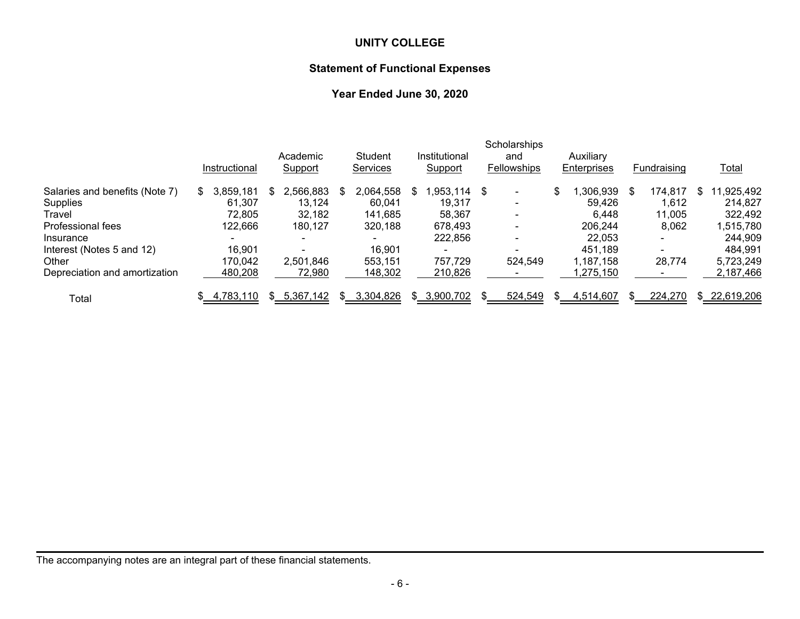# **Statement of Functional Expenses**

# **Year Ended June 30, 2020**

|                                | Instructional  | Academic<br><b>Support</b> |     | Student<br>Services |   | Institutional<br>Support | Scholarships<br>and<br><b>Fellowships</b> |   | Auxiliary<br>Enterprises |   | Fundraising              |   | <u>Total</u> |
|--------------------------------|----------------|----------------------------|-----|---------------------|---|--------------------------|-------------------------------------------|---|--------------------------|---|--------------------------|---|--------------|
| Salaries and benefits (Note 7) | 3,859,181<br>S | 2,566,883                  | SS. | 2,064,558           | S | $,953,114$ \$            | $\blacksquare$                            | S | .306.939                 | S | 174,817                  | S | 11,925,492   |
| Supplies                       | 61,307         | 13,124                     |     | 60,041              |   | 19,317                   | $\blacksquare$                            |   | 59.426                   |   | 612, ا                   |   | 214,827      |
| Travel                         | 72,805         | 32.182                     |     | 141,685             |   | 58.367                   | $\blacksquare$                            |   | 6.448                    |   | 11,005                   |   | 322,492      |
| Professional fees              | 122,666        | 180.127                    |     | 320,188             |   | 678,493                  | $\blacksquare$                            |   | 206.244                  |   | 8,062                    |   | 1,515,780    |
| Insurance                      |                |                            |     | $\blacksquare$      |   | 222,856                  | $\blacksquare$                            |   | 22,053                   |   | $\sim$                   |   | 244,909      |
| Interest (Notes 5 and 12)      | 16,901         |                            |     | 16,901              |   | $\overline{\phantom{0}}$ |                                           |   | 451.189                  |   | $\overline{\phantom{0}}$ |   | 484,991      |
| Other                          | 170,042        | 2,501,846                  |     | 553.151             |   | 757,729                  | 524.549                                   |   | 1.187.158                |   | 28,774                   |   | 5,723,249    |
| Depreciation and amortization  | 480,208        | 72,980                     |     | 148,302             |   | 210,826                  |                                           |   | ,275,150                 |   |                          |   | 2,187,466    |
| Total                          | 4,783,110      | 5,367,142                  | \$. | 3,304,826           |   | \$ 3,900,702             | 524,549                                   |   | 4,514,607                |   | 224,270                  |   | \$22,619,206 |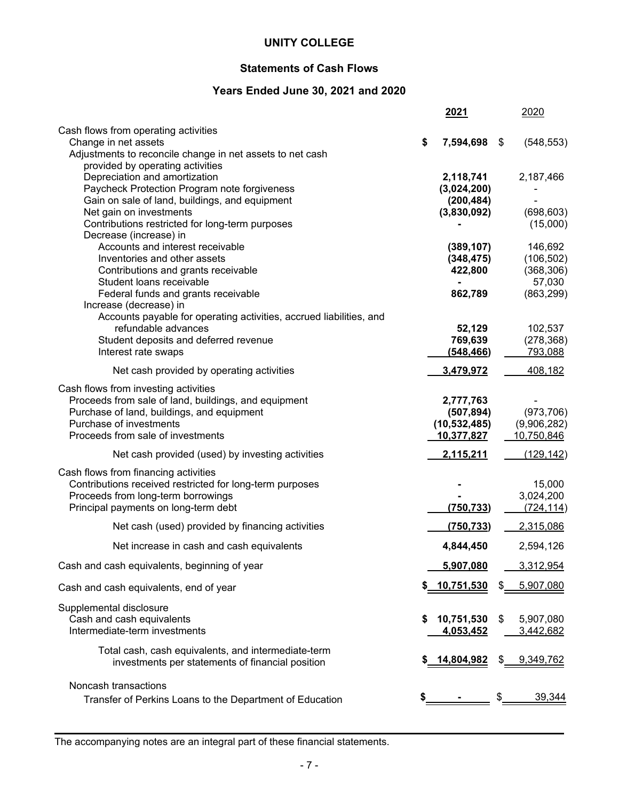# **Statements of Cash Flows**

# **Years Ended June 30, 2021 and 2020**

|                                                                                                |    | 2021                      | 2020             |
|------------------------------------------------------------------------------------------------|----|---------------------------|------------------|
| Cash flows from operating activities<br>Change in net assets                                   | \$ | 7,594,698                 | \$<br>(548, 553) |
| Adjustments to reconcile change in net assets to net cash                                      |    |                           |                  |
| provided by operating activities                                                               |    |                           |                  |
| Depreciation and amortization                                                                  |    | 2,118,741                 | 2,187,466        |
| Paycheck Protection Program note forgiveness<br>Gain on sale of land, buildings, and equipment |    | (3,024,200)<br>(200, 484) |                  |
| Net gain on investments                                                                        |    | (3,830,092)               | (698, 603)       |
| Contributions restricted for long-term purposes                                                |    |                           | (15,000)         |
| Decrease (increase) in                                                                         |    |                           |                  |
| Accounts and interest receivable                                                               |    | (389, 107)                | 146,692          |
| Inventories and other assets                                                                   |    | (348, 475)                | (106, 502)       |
| Contributions and grants receivable                                                            |    | 422,800                   | (368, 306)       |
| Student loans receivable                                                                       |    |                           | 57,030           |
| Federal funds and grants receivable                                                            |    | 862,789                   | (863, 299)       |
| Increase (decrease) in                                                                         |    |                           |                  |
| Accounts payable for operating activities, accrued liabilities, and<br>refundable advances     |    | 52,129                    | 102,537          |
| Student deposits and deferred revenue                                                          |    | 769,639                   | (278, 368)       |
| Interest rate swaps                                                                            |    | (548, 466)                | 793,088          |
| Net cash provided by operating activities                                                      |    | 3,479,972                 | 408,182          |
| Cash flows from investing activities                                                           |    |                           |                  |
| Proceeds from sale of land, buildings, and equipment                                           |    | 2,777,763                 |                  |
| Purchase of land, buildings, and equipment                                                     |    | (507, 894)                | (973, 706)       |
| Purchase of investments                                                                        |    | (10, 532, 485)            | (9,906,282)      |
| Proceeds from sale of investments                                                              |    | 10,377,827                | 10,750,846       |
| Net cash provided (used) by investing activities                                               |    | 2,115,211                 | (129, 142)       |
| Cash flows from financing activities                                                           |    |                           |                  |
| Contributions received restricted for long-term purposes                                       |    |                           | 15,000           |
| Proceeds from long-term borrowings                                                             |    |                           | 3,024,200        |
| Principal payments on long-term debt                                                           |    | (750, 733)                | (724, 114)       |
| Net cash (used) provided by financing activities                                               |    | (750, 733)                | 2,315,086        |
| Net increase in cash and cash equivalents                                                      |    | 4,844,450                 | 2,594,126        |
| Cash and cash equivalents, beginning of year                                                   |    | 5,907,080                 | 3,312,954        |
| Cash and cash equivalents, end of year                                                         |    | <u>10,751,530</u>         | 5,907,080        |
| Supplemental disclosure                                                                        |    |                           |                  |
| Cash and cash equivalents                                                                      | S  | 10,751,530                | \$<br>5,907,080  |
| Intermediate-term investments                                                                  |    | 4,053,452                 | <u>3,442,682</u> |
| Total cash, cash equivalents, and intermediate-term                                            |    | \$ 14,804,982             | 9,349,762        |
| investments per statements of financial position                                               |    |                           |                  |
| Noncash transactions                                                                           |    |                           |                  |
| Transfer of Perkins Loans to the Department of Education                                       |    |                           | 39,344           |
|                                                                                                |    |                           |                  |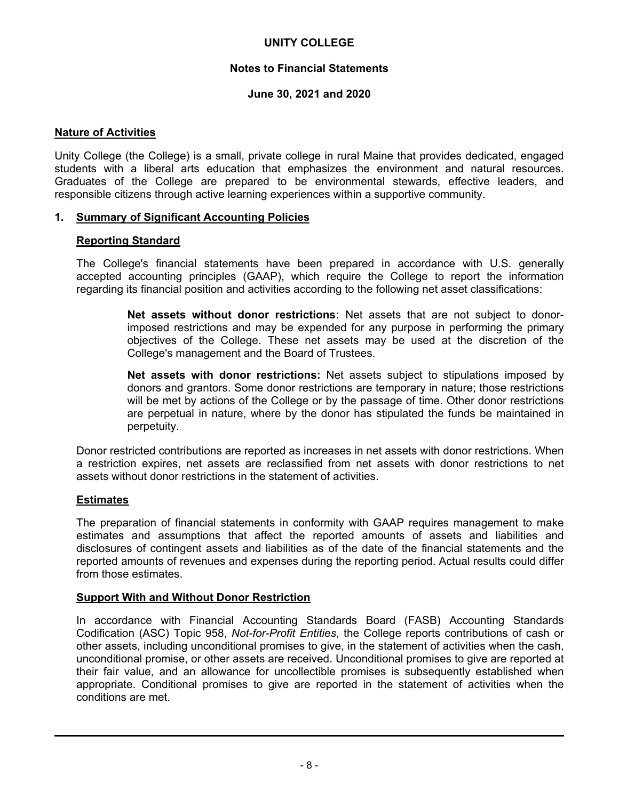## **Notes to Financial Statements**

## **June 30, 2021 and 2020**

## **Nature of Activities**

Unity College (the College) is a small, private college in rural Maine that provides dedicated, engaged students with a liberal arts education that emphasizes the environment and natural resources. Graduates of the College are prepared to be environmental stewards, effective leaders, and responsible citizens through active learning experiences within a supportive community.

#### **1. Summary of Significant Accounting Policies**

#### **Reporting Standard**

The College's financial statements have been prepared in accordance with U.S. generally accepted accounting principles (GAAP), which require the College to report the information regarding its financial position and activities according to the following net asset classifications:

> **Net assets without donor restrictions:** Net assets that are not subject to donorimposed restrictions and may be expended for any purpose in performing the primary objectives of the College. These net assets may be used at the discretion of the College's management and the Board of Trustees.

> **Net assets with donor restrictions:** Net assets subject to stipulations imposed by donors and grantors. Some donor restrictions are temporary in nature; those restrictions will be met by actions of the College or by the passage of time. Other donor restrictions are perpetual in nature, where by the donor has stipulated the funds be maintained in perpetuity.

Donor restricted contributions are reported as increases in net assets with donor restrictions. When a restriction expires, net assets are reclassified from net assets with donor restrictions to net assets without donor restrictions in the statement of activities.

#### **Estimates**

The preparation of financial statements in conformity with GAAP requires management to make estimates and assumptions that affect the reported amounts of assets and liabilities and disclosures of contingent assets and liabilities as of the date of the financial statements and the reported amounts of revenues and expenses during the reporting period. Actual results could differ from those estimates.

#### **Support With and Without Donor Restriction**

In accordance with Financial Accounting Standards Board (FASB) Accounting Standards Codification (ASC) Topic 958, *Not-for-Profit Entities*, the College reports contributions of cash or other assets, including unconditional promises to give, in the statement of activities when the cash, unconditional promise, or other assets are received. Unconditional promises to give are reported at their fair value, and an allowance for uncollectible promises is subsequently established when appropriate. Conditional promises to give are reported in the statement of activities when the conditions are met.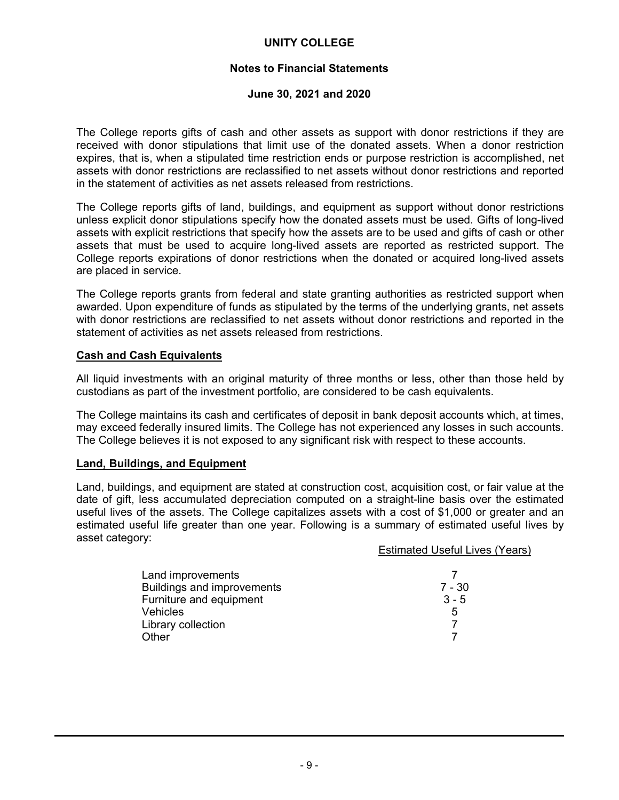# **Notes to Financial Statements**

#### **June 30, 2021 and 2020**

The College reports gifts of cash and other assets as support with donor restrictions if they are received with donor stipulations that limit use of the donated assets. When a donor restriction expires, that is, when a stipulated time restriction ends or purpose restriction is accomplished, net assets with donor restrictions are reclassified to net assets without donor restrictions and reported in the statement of activities as net assets released from restrictions.

The College reports gifts of land, buildings, and equipment as support without donor restrictions unless explicit donor stipulations specify how the donated assets must be used. Gifts of long-lived assets with explicit restrictions that specify how the assets are to be used and gifts of cash or other assets that must be used to acquire long-lived assets are reported as restricted support. The College reports expirations of donor restrictions when the donated or acquired long-lived assets are placed in service.

The College reports grants from federal and state granting authorities as restricted support when awarded. Upon expenditure of funds as stipulated by the terms of the underlying grants, net assets with donor restrictions are reclassified to net assets without donor restrictions and reported in the statement of activities as net assets released from restrictions.

#### **Cash and Cash Equivalents**

All liquid investments with an original maturity of three months or less, other than those held by custodians as part of the investment portfolio, are considered to be cash equivalents.

The College maintains its cash and certificates of deposit in bank deposit accounts which, at times, may exceed federally insured limits. The College has not experienced any losses in such accounts. The College believes it is not exposed to any significant risk with respect to these accounts.

#### **Land, Buildings, and Equipment**

Land, buildings, and equipment are stated at construction cost, acquisition cost, or fair value at the date of gift, less accumulated depreciation computed on a straight-line basis over the estimated useful lives of the assets. The College capitalizes assets with a cost of \$1,000 or greater and an estimated useful life greater than one year. Following is a summary of estimated useful lives by asset category:

|                                   | <b>Estimated Useful Lives (Years)</b> |
|-----------------------------------|---------------------------------------|
|                                   |                                       |
| Land improvements                 |                                       |
| <b>Buildings and improvements</b> | $7 - 30$                              |
| Furniture and equipment           | $3 - 5$                               |
| Vehicles                          | 5                                     |
| Library collection                |                                       |
| Other                             |                                       |
|                                   |                                       |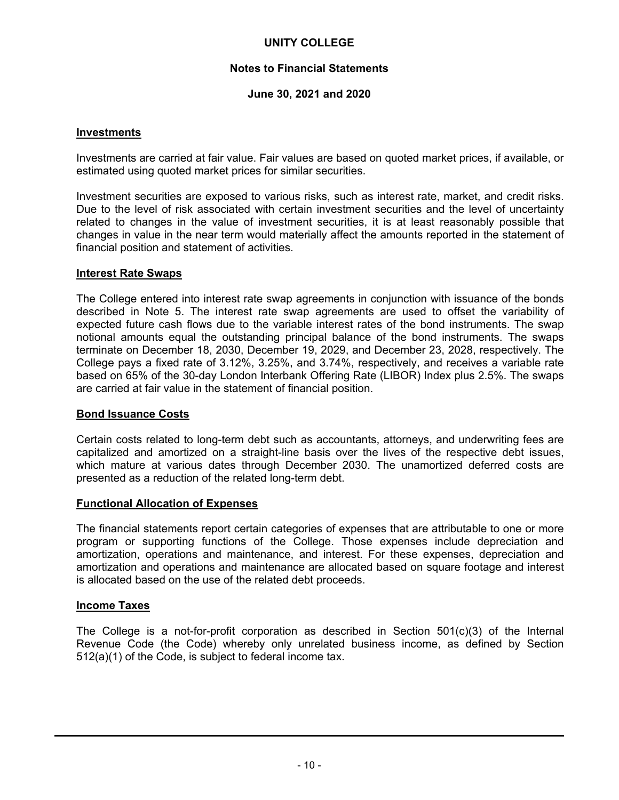# **Notes to Financial Statements**

# **June 30, 2021 and 2020**

#### **Investments**

Investments are carried at fair value. Fair values are based on quoted market prices, if available, or estimated using quoted market prices for similar securities.

Investment securities are exposed to various risks, such as interest rate, market, and credit risks. Due to the level of risk associated with certain investment securities and the level of uncertainty related to changes in the value of investment securities, it is at least reasonably possible that changes in value in the near term would materially affect the amounts reported in the statement of financial position and statement of activities.

#### **Interest Rate Swaps**

The College entered into interest rate swap agreements in conjunction with issuance of the bonds described in Note 5. The interest rate swap agreements are used to offset the variability of expected future cash flows due to the variable interest rates of the bond instruments. The swap notional amounts equal the outstanding principal balance of the bond instruments. The swaps terminate on December 18, 2030, December 19, 2029, and December 23, 2028, respectively. The College pays a fixed rate of 3.12%, 3.25%, and 3.74%, respectively, and receives a variable rate based on 65% of the 30-day London Interbank Offering Rate (LIBOR) Index plus 2.5%. The swaps are carried at fair value in the statement of financial position.

#### **Bond Issuance Costs**

Certain costs related to long-term debt such as accountants, attorneys, and underwriting fees are capitalized and amortized on a straight-line basis over the lives of the respective debt issues, which mature at various dates through December 2030. The unamortized deferred costs are presented as a reduction of the related long-term debt.

#### **Functional Allocation of Expenses**

The financial statements report certain categories of expenses that are attributable to one or more program or supporting functions of the College. Those expenses include depreciation and amortization, operations and maintenance, and interest. For these expenses, depreciation and amortization and operations and maintenance are allocated based on square footage and interest is allocated based on the use of the related debt proceeds.

#### **Income Taxes**

The College is a not-for-profit corporation as described in Section 501(c)(3) of the Internal Revenue Code (the Code) whereby only unrelated business income, as defined by Section 512(a)(1) of the Code, is subject to federal income tax.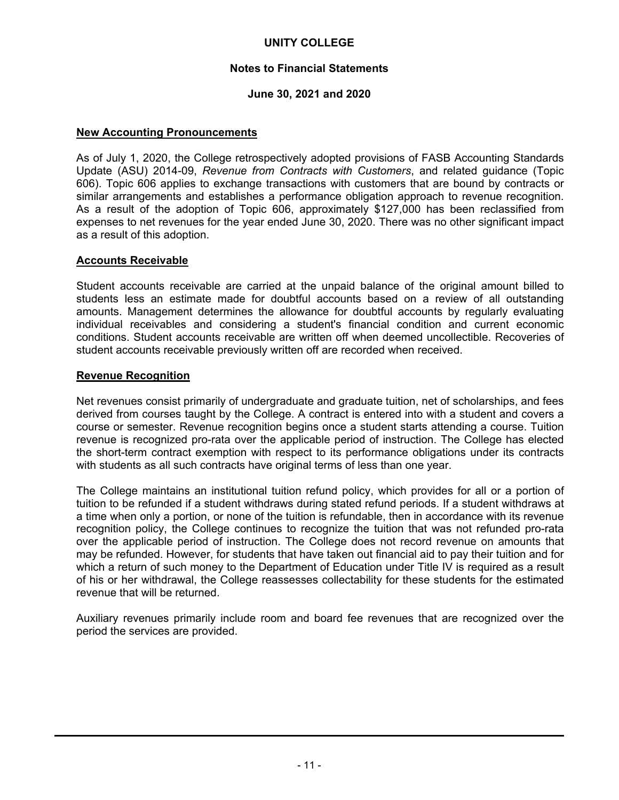## **Notes to Financial Statements**

# **June 30, 2021 and 2020**

#### **New Accounting Pronouncements**

As of July 1, 2020, the College retrospectively adopted provisions of FASB Accounting Standards Update (ASU) 2014-09, *Revenue from Contracts with Customers*, and related guidance (Topic 606). Topic 606 applies to exchange transactions with customers that are bound by contracts or similar arrangements and establishes a performance obligation approach to revenue recognition. As a result of the adoption of Topic 606, approximately \$127,000 has been reclassified from expenses to net revenues for the year ended June 30, 2020. There was no other significant impact as a result of this adoption.

#### **Accounts Receivable**

Student accounts receivable are carried at the unpaid balance of the original amount billed to students less an estimate made for doubtful accounts based on a review of all outstanding amounts. Management determines the allowance for doubtful accounts by regularly evaluating individual receivables and considering a student's financial condition and current economic conditions. Student accounts receivable are written off when deemed uncollectible. Recoveries of student accounts receivable previously written off are recorded when received.

#### **Revenue Recognition**

Net revenues consist primarily of undergraduate and graduate tuition, net of scholarships, and fees derived from courses taught by the College. A contract is entered into with a student and covers a course or semester. Revenue recognition begins once a student starts attending a course. Tuition revenue is recognized pro-rata over the applicable period of instruction. The College has elected the short-term contract exemption with respect to its performance obligations under its contracts with students as all such contracts have original terms of less than one year.

The College maintains an institutional tuition refund policy, which provides for all or a portion of tuition to be refunded if a student withdraws during stated refund periods. If a student withdraws at a time when only a portion, or none of the tuition is refundable, then in accordance with its revenue recognition policy, the College continues to recognize the tuition that was not refunded pro-rata over the applicable period of instruction. The College does not record revenue on amounts that may be refunded. However, for students that have taken out financial aid to pay their tuition and for which a return of such money to the Department of Education under Title IV is required as a result of his or her withdrawal, the College reassesses collectability for these students for the estimated revenue that will be returned.

Auxiliary revenues primarily include room and board fee revenues that are recognized over the period the services are provided.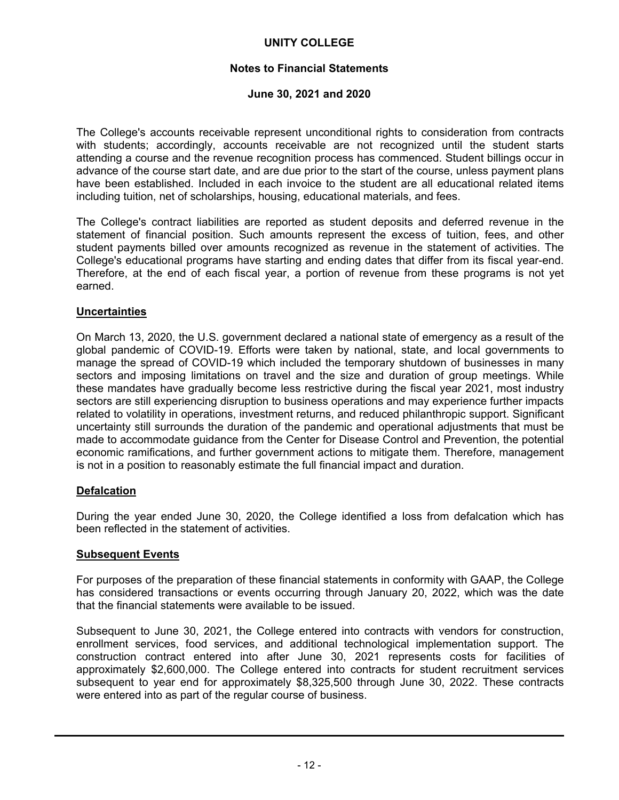# **Notes to Financial Statements**

#### **June 30, 2021 and 2020**

The College's accounts receivable represent unconditional rights to consideration from contracts with students; accordingly, accounts receivable are not recognized until the student starts attending a course and the revenue recognition process has commenced. Student billings occur in advance of the course start date, and are due prior to the start of the course, unless payment plans have been established. Included in each invoice to the student are all educational related items including tuition, net of scholarships, housing, educational materials, and fees.

The College's contract liabilities are reported as student deposits and deferred revenue in the statement of financial position. Such amounts represent the excess of tuition, fees, and other student payments billed over amounts recognized as revenue in the statement of activities. The College's educational programs have starting and ending dates that differ from its fiscal year-end. Therefore, at the end of each fiscal year, a portion of revenue from these programs is not yet earned.

#### **Uncertainties**

On March 13, 2020, the U.S. government declared a national state of emergency as a result of the global pandemic of COVID-19. Efforts were taken by national, state, and local governments to manage the spread of COVID-19 which included the temporary shutdown of businesses in many sectors and imposing limitations on travel and the size and duration of group meetings. While these mandates have gradually become less restrictive during the fiscal year 2021, most industry sectors are still experiencing disruption to business operations and may experience further impacts related to volatility in operations, investment returns, and reduced philanthropic support. Significant uncertainty still surrounds the duration of the pandemic and operational adjustments that must be made to accommodate guidance from the Center for Disease Control and Prevention, the potential economic ramifications, and further government actions to mitigate them. Therefore, management is not in a position to reasonably estimate the full financial impact and duration.

#### **Defalcation**

During the year ended June 30, 2020, the College identified a loss from defalcation which has been reflected in the statement of activities.

#### **Subsequent Events**

For purposes of the preparation of these financial statements in conformity with GAAP, the College has considered transactions or events occurring through January 20, 2022, which was the date that the financial statements were available to be issued.

Subsequent to June 30, 2021, the College entered into contracts with vendors for construction, enrollment services, food services, and additional technological implementation support. The construction contract entered into after June 30, 2021 represents costs for facilities of approximately \$2,600,000. The College entered into contracts for student recruitment services subsequent to year end for approximately \$8,325,500 through June 30, 2022. These contracts were entered into as part of the regular course of business.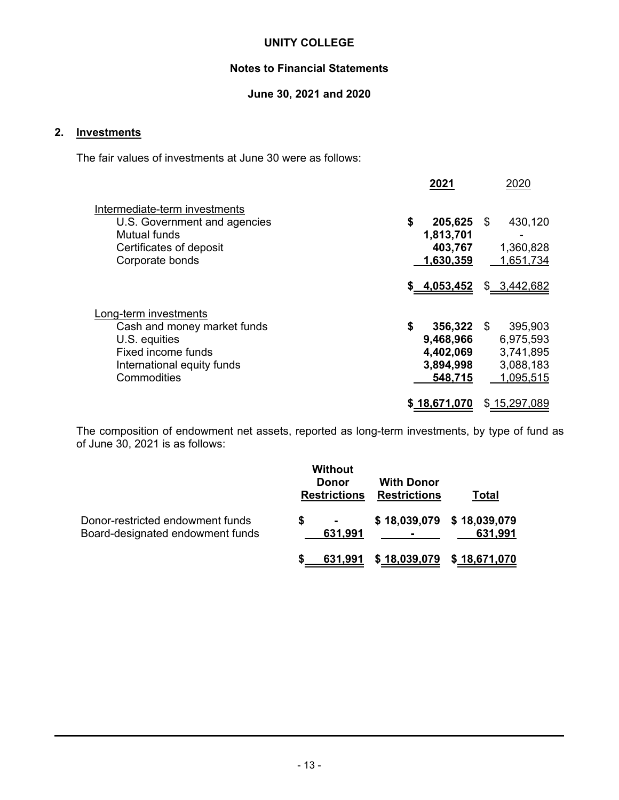# **Notes to Financial Statements**

# **June 30, 2021 and 2020**

# **2. Investments**

The fair values of investments at June 30 were as follows:

|                                                                                                                                          | 2021                                                                 | 2020                                                        |
|------------------------------------------------------------------------------------------------------------------------------------------|----------------------------------------------------------------------|-------------------------------------------------------------|
| Intermediate-term investments<br>U.S. Government and agencies<br>Mutual funds<br>Certificates of deposit<br>Corporate bonds              | \$<br>$205,625$ \$<br>1,813,701<br>403,767<br>1,630,359              | 430,120<br>1,360,828<br>1,651,734                           |
|                                                                                                                                          | \$ 4,053,452                                                         | \$ 3,442,682                                                |
| Long-term investments<br>Cash and money market funds<br>U.S. equities<br>Fixed income funds<br>International equity funds<br>Commodities | \$<br>$356,322$ \$<br>9,468,966<br>4,402,069<br>3,894,998<br>548,715 | 395,903<br>6,975,593<br>3,741,895<br>3,088,183<br>1,095,515 |
|                                                                                                                                          | \$18,671,070                                                         | \$15,297,089                                                |

The composition of endowment net assets, reported as long-term investments, by type of fund as of June 30, 2021 is as follows:

|                                                                      |   | <b>Without</b><br><b>Donor</b><br><b>Restrictions</b> | <b>With Donor</b><br><b>Restrictions</b> | Total                                |
|----------------------------------------------------------------------|---|-------------------------------------------------------|------------------------------------------|--------------------------------------|
| Donor-restricted endowment funds<br>Board-designated endowment funds | S | 631,991                                               |                                          | \$18,039,079 \$18,039,079<br>631,991 |
|                                                                      |   | 631,991                                               | \$18,039,079 \$18,671,070                |                                      |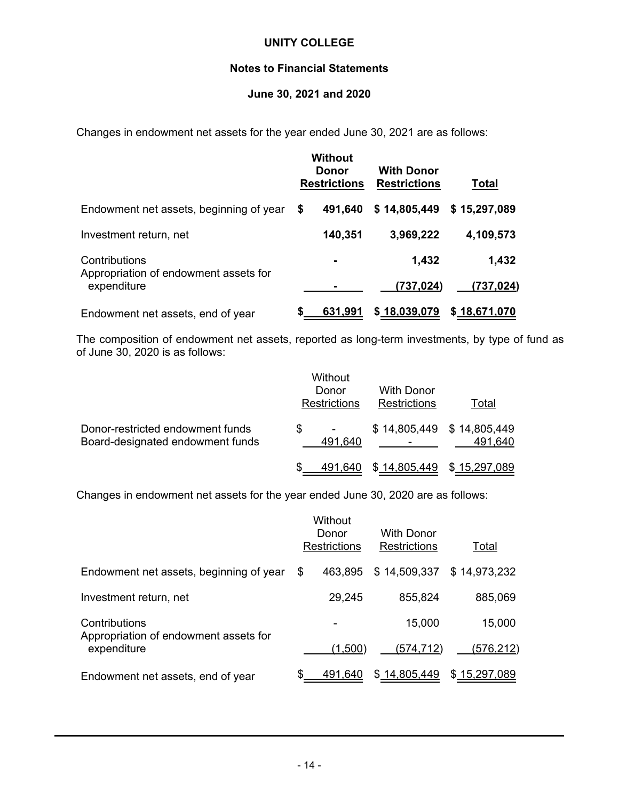# **Notes to Financial Statements**

#### **June 30, 2021 and 2020**

Changes in endowment net assets for the year ended June 30, 2021 are as follows:

|                                                      | <b>Without</b><br>Donor<br><b>Restrictions</b> | <b>With Donor</b><br><b>Restrictions</b> | <b>Total</b> |
|------------------------------------------------------|------------------------------------------------|------------------------------------------|--------------|
| Endowment net assets, beginning of year              | \$<br>491,640                                  | \$14,805,449                             | \$15,297,089 |
| Investment return, net                               | 140,351                                        | 3,969,222                                | 4,109,573    |
| Contributions                                        |                                                | 1,432                                    | 1,432        |
| Appropriation of endowment assets for<br>expenditure |                                                | (737, 024)                               | (737,024)    |
| Endowment net assets, end of year                    | 631,991                                        | \$18,039,079                             | \$18,671,070 |

The composition of endowment net assets, reported as long-term investments, by type of fund as of June 30, 2020 is as follows:

|                                                                      | Without<br>Donor<br><b>Restrictions</b> | With Donor<br><b>Restrictions</b> | Total   |
|----------------------------------------------------------------------|-----------------------------------------|-----------------------------------|---------|
| Donor-restricted endowment funds<br>Board-designated endowment funds | \$.<br>491,640                          | \$14,805,449 \$14,805,449         | 491,640 |
|                                                                      | 491.640                                 | \$14,805,449 \$15,297,089         |         |

Changes in endowment net assets for the year ended June 30, 2020 are as follows:

|                                                        |      | Without<br>Donor<br><b>Restrictions</b> | With Donor<br><b>Restrictions</b> | Total        |
|--------------------------------------------------------|------|-----------------------------------------|-----------------------------------|--------------|
| Endowment net assets, beginning of year                | - \$ | 463.895                                 | \$14,509,337                      | \$14,973,232 |
| Investment return, net                                 |      | 29,245                                  | 855,824                           | 885,069      |
| Contributions<br>Appropriation of endowment assets for |      |                                         | 15,000                            | 15,000       |
| expenditure                                            |      | (1,500)                                 | (574,712)                         | (576,212)    |
| Endowment net assets, end of year                      |      | 491,640                                 | \$14,805,449                      | \$15,297,089 |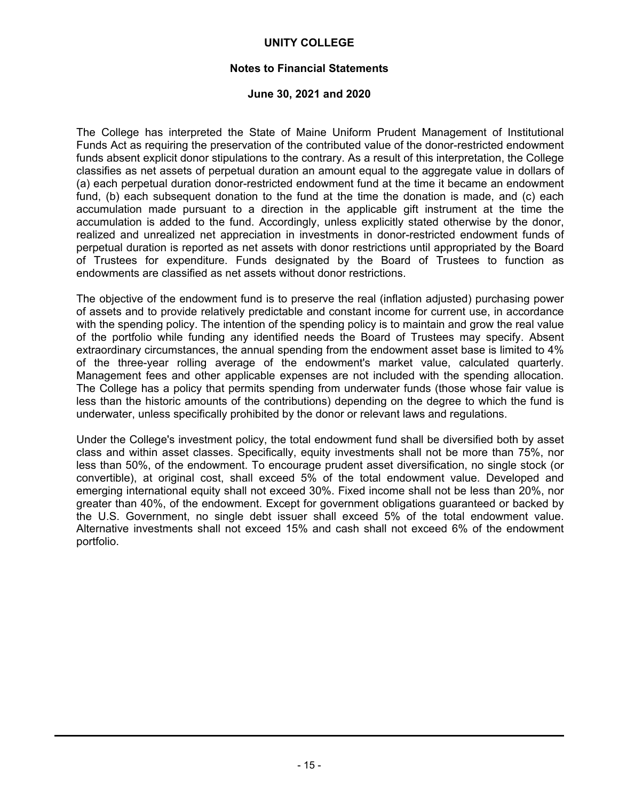#### **Notes to Financial Statements**

#### **June 30, 2021 and 2020**

The College has interpreted the State of Maine Uniform Prudent Management of Institutional Funds Act as requiring the preservation of the contributed value of the donor-restricted endowment funds absent explicit donor stipulations to the contrary. As a result of this interpretation, the College classifies as net assets of perpetual duration an amount equal to the aggregate value in dollars of (a) each perpetual duration donor-restricted endowment fund at the time it became an endowment fund, (b) each subsequent donation to the fund at the time the donation is made, and (c) each accumulation made pursuant to a direction in the applicable gift instrument at the time the accumulation is added to the fund. Accordingly, unless explicitly stated otherwise by the donor, realized and unrealized net appreciation in investments in donor-restricted endowment funds of perpetual duration is reported as net assets with donor restrictions until appropriated by the Board of Trustees for expenditure. Funds designated by the Board of Trustees to function as endowments are classified as net assets without donor restrictions.

The objective of the endowment fund is to preserve the real (inflation adjusted) purchasing power of assets and to provide relatively predictable and constant income for current use, in accordance with the spending policy. The intention of the spending policy is to maintain and grow the real value of the portfolio while funding any identified needs the Board of Trustees may specify. Absent extraordinary circumstances, the annual spending from the endowment asset base is limited to 4% of the three-year rolling average of the endowment's market value, calculated quarterly. Management fees and other applicable expenses are not included with the spending allocation. The College has a policy that permits spending from underwater funds (those whose fair value is less than the historic amounts of the contributions) depending on the degree to which the fund is underwater, unless specifically prohibited by the donor or relevant laws and regulations.

Under the College's investment policy, the total endowment fund shall be diversified both by asset class and within asset classes. Specifically, equity investments shall not be more than 75%, nor less than 50%, of the endowment. To encourage prudent asset diversification, no single stock (or convertible), at original cost, shall exceed 5% of the total endowment value. Developed and emerging international equity shall not exceed 30%. Fixed income shall not be less than 20%, nor greater than 40%, of the endowment. Except for government obligations guaranteed or backed by the U.S. Government, no single debt issuer shall exceed 5% of the total endowment value. Alternative investments shall not exceed 15% and cash shall not exceed 6% of the endowment portfolio.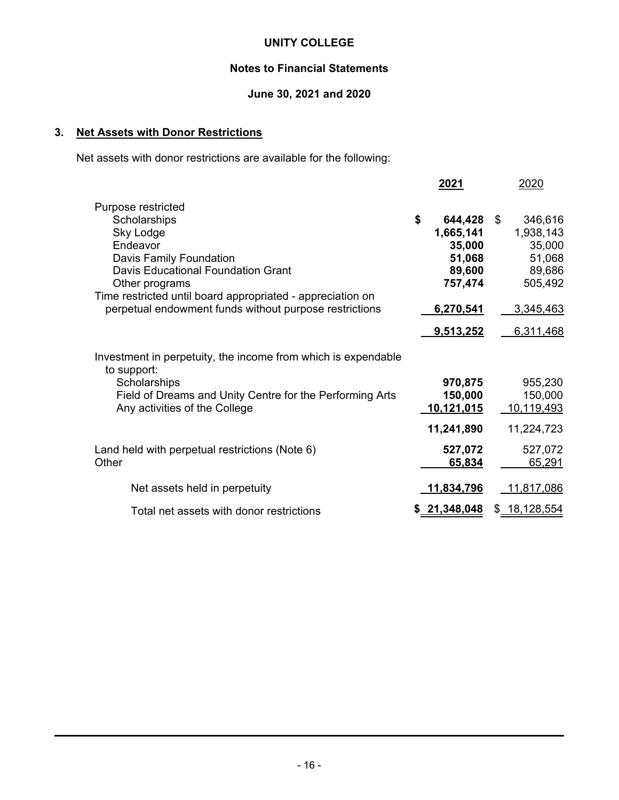# **Notes to Financial Statements**

# **June 30, 2021 and 2020**

# **3. Net Assets with Donor Restrictions**

Net assets with donor restrictions are available for the following:

|                                                                                                                                                                                                                                                                        | <u>2021</u>                                                                                   | 2020                                                                                          |
|------------------------------------------------------------------------------------------------------------------------------------------------------------------------------------------------------------------------------------------------------------------------|-----------------------------------------------------------------------------------------------|-----------------------------------------------------------------------------------------------|
| Purpose restricted<br>Scholarships<br>Sky Lodge<br>Endeavor<br>Davis Family Foundation<br>Davis Educational Foundation Grant<br>Other programs<br>Time restricted until board appropriated - appreciation on<br>perpetual endowment funds without purpose restrictions | \$<br>644,428<br>1,665,141<br>35,000<br>51,068<br>89,600<br>757,474<br>6,270,541<br>9,513,252 | \$<br>346,616<br>1,938,143<br>35,000<br>51,068<br>89,686<br>505,492<br>3,345,463<br>6,311,468 |
| Investment in perpetuity, the income from which is expendable<br>to support:<br>Scholarships<br>Field of Dreams and Unity Centre for the Performing Arts<br>Any activities of the College                                                                              | 970,875<br>150,000<br>10,121,015<br>11,241,890                                                | 955,230<br>150,000<br>10,119,493<br>11,224,723                                                |
| Land held with perpetual restrictions (Note 6)<br>Other                                                                                                                                                                                                                | 527,072<br>65,834                                                                             | 527,072<br>65,291                                                                             |
| Net assets held in perpetuity                                                                                                                                                                                                                                          | <u>11,834,796</u>                                                                             | <u>11,817,086</u>                                                                             |
| Total net assets with donor restrictions                                                                                                                                                                                                                               | 21,348,048                                                                                    | \$ 18,128,554                                                                                 |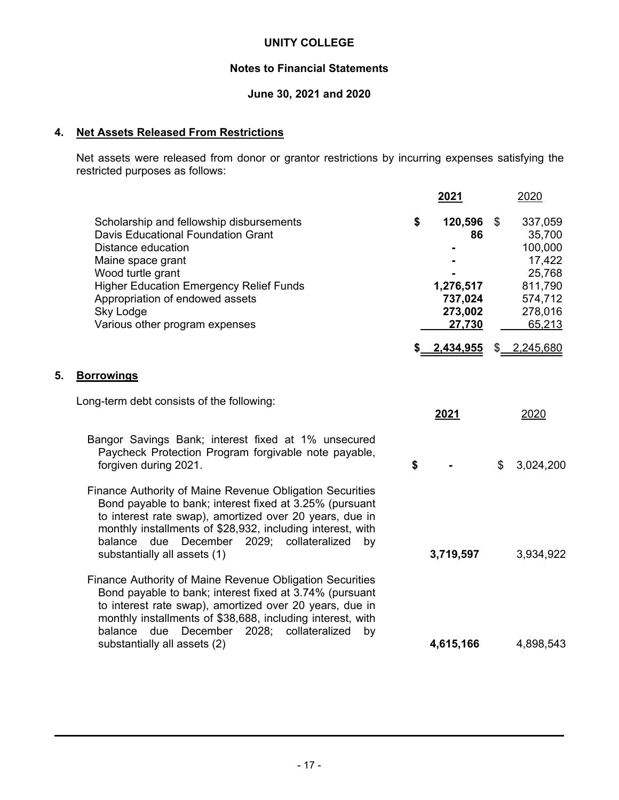# **Notes to Financial Statements**

# **June 30, 2021 and 2020**

# **4. Net Assets Released From Restrictions**

Net assets were released from donor or grantor restrictions by incurring expenses satisfying the restricted purposes as follows:

|    |                                                                                                                                                                                                                                                                                                                                 | 2021                                                             | 2020                                                                                              |
|----|---------------------------------------------------------------------------------------------------------------------------------------------------------------------------------------------------------------------------------------------------------------------------------------------------------------------------------|------------------------------------------------------------------|---------------------------------------------------------------------------------------------------|
|    | Scholarship and fellowship disbursements<br><b>Davis Educational Foundation Grant</b><br>Distance education<br>Maine space grant<br>Wood turtle grant<br><b>Higher Education Emergency Relief Funds</b><br>Appropriation of endowed assets<br>Sky Lodge<br>Various other program expenses                                       | \$<br>120,596<br>86<br>1,276,517<br>737,024<br>273,002<br>27,730 | \$<br>337,059<br>35,700<br>100,000<br>17,422<br>25,768<br>811,790<br>574,712<br>278,016<br>65,213 |
|    |                                                                                                                                                                                                                                                                                                                                 | \$ 2,434,955                                                     | \$ 2,245,680                                                                                      |
| 5. | <b>Borrowings</b>                                                                                                                                                                                                                                                                                                               |                                                                  |                                                                                                   |
|    | Long-term debt consists of the following:                                                                                                                                                                                                                                                                                       | 2021                                                             | 2020                                                                                              |
|    | Bangor Savings Bank; interest fixed at 1% unsecured<br>Paycheck Protection Program forgivable note payable,<br>forgiven during 2021.                                                                                                                                                                                            | \$                                                               | \$<br>3,024,200                                                                                   |
|    | Finance Authority of Maine Revenue Obligation Securities<br>Bond payable to bank; interest fixed at 3.25% (pursuant<br>to interest rate swap), amortized over 20 years, due in<br>monthly installments of \$28,932, including interest, with<br>balance due December 2029; collateralized<br>by<br>substantially all assets (1) | 3,719,597                                                        | 3,934,922                                                                                         |
|    | Finance Authority of Maine Revenue Obligation Securities<br>Bond payable to bank; interest fixed at 3.74% (pursuant<br>to interest rate swap), amortized over 20 years, due in<br>monthly installments of \$38,688, including interest, with<br>December 2028;<br>balance due<br>collateralized<br>by                           |                                                                  |                                                                                                   |
|    | substantially all assets (2)                                                                                                                                                                                                                                                                                                    | 4,615,166                                                        | 4,898,543                                                                                         |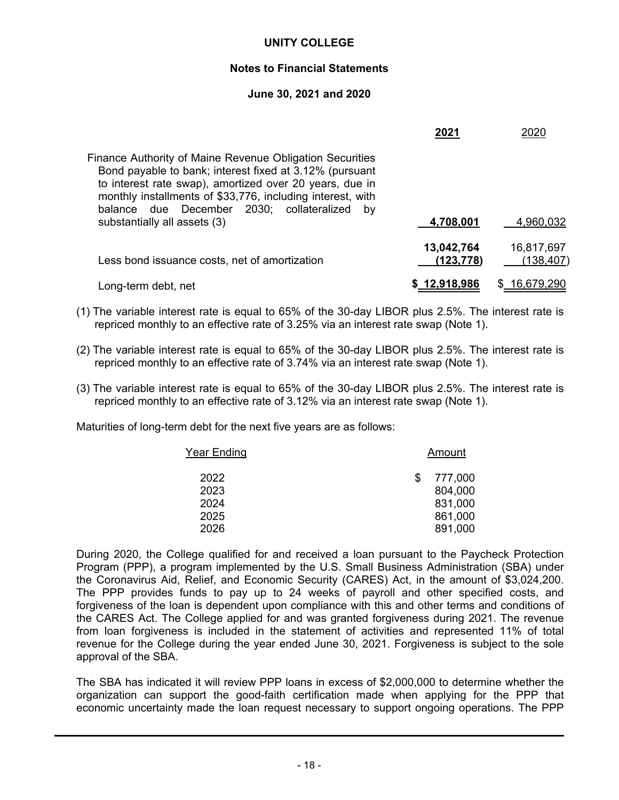# **Notes to Financial Statements**

# **June 30, 2021 and 2020**

|                                                                                                                                                                                                                                                                                                 | 2021                    | 2020                           |
|-------------------------------------------------------------------------------------------------------------------------------------------------------------------------------------------------------------------------------------------------------------------------------------------------|-------------------------|--------------------------------|
| Finance Authority of Maine Revenue Obligation Securities<br>Bond payable to bank; interest fixed at 3.12% (pursuant<br>to interest rate swap), amortized over 20 years, due in<br>monthly installments of \$33,776, including interest, with<br>balance due December 2030; collateralized<br>bv |                         |                                |
| substantially all assets (3)                                                                                                                                                                                                                                                                    | 4,708,001               | 4,960,032                      |
| Less bond issuance costs, net of amortization                                                                                                                                                                                                                                                   | 13,042,764<br>(123,778) | 16,817,697<br><u>(138,407)</u> |
| Long-term debt, net                                                                                                                                                                                                                                                                             | \$12,918,986            | 16,679,290                     |

- (1) The variable interest rate is equal to 65% of the 30-day LIBOR plus 2.5%. The interest rate is repriced monthly to an effective rate of 3.25% via an interest rate swap (Note 1).
- (2) The variable interest rate is equal to 65% of the 30-day LIBOR plus 2.5%. The interest rate is repriced monthly to an effective rate of 3.74% via an interest rate swap (Note 1).
- (3) The variable interest rate is equal to 65% of the 30-day LIBOR plus 2.5%. The interest rate is repriced monthly to an effective rate of 3.12% via an interest rate swap (Note 1).

Maturities of long-term debt for the next five years are as follows:

| Year Ending | Amount  |  |  |  |
|-------------|---------|--|--|--|
| 2022        | 777,000 |  |  |  |
| 2023        | 804,000 |  |  |  |
| 2024        | 831,000 |  |  |  |
| 2025        | 861,000 |  |  |  |
| 2026        | 891,000 |  |  |  |

During 2020, the College qualified for and received a loan pursuant to the Paycheck Protection Program (PPP), a program implemented by the U.S. Small Business Administration (SBA) under the Coronavirus Aid, Relief, and Economic Security (CARES) Act, in the amount of \$3,024,200. The PPP provides funds to pay up to 24 weeks of payroll and other specified costs, and forgiveness of the loan is dependent upon compliance with this and other terms and conditions of the CARES Act. The College applied for and was granted forgiveness during 2021. The revenue from loan forgiveness is included in the statement of activities and represented 11% of total revenue for the College during the year ended June 30, 2021. Forgiveness is subject to the sole approval of the SBA.

The SBA has indicated it will review PPP loans in excess of \$2,000,000 to determine whether the organization can support the good-faith certification made when applying for the PPP that economic uncertainty made the loan request necessary to support ongoing operations. The PPP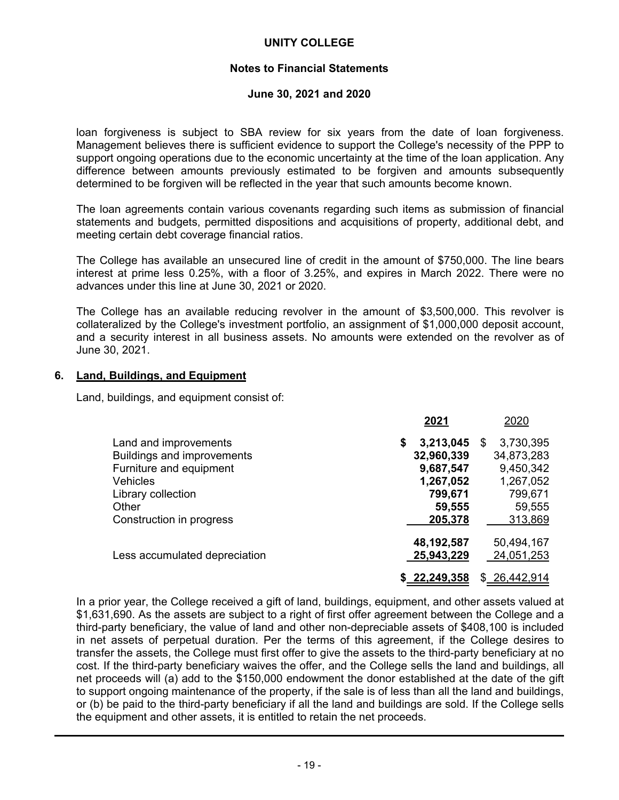# **Notes to Financial Statements**

#### **June 30, 2021 and 2020**

loan forgiveness is subject to SBA review for six years from the date of loan forgiveness. Management believes there is sufficient evidence to support the College's necessity of the PPP to support ongoing operations due to the economic uncertainty at the time of the loan application. Any difference between amounts previously estimated to be forgiven and amounts subsequently determined to be forgiven will be reflected in the year that such amounts become known.

The loan agreements contain various covenants regarding such items as submission of financial statements and budgets, permitted dispositions and acquisitions of property, additional debt, and meeting certain debt coverage financial ratios.

The College has available an unsecured line of credit in the amount of \$750,000. The line bears interest at prime less 0.25%, with a floor of 3.25%, and expires in March 2022. There were no advances under this line at June 30, 2021 or 2020.

The College has an available reducing revolver in the amount of \$3,500,000. This revolver is collateralized by the College's investment portfolio, an assignment of \$1,000,000 deposit account, and a security interest in all business assets. No amounts were extended on the revolver as of June 30, 2021.

#### **6. Land, Buildings, and Equipment**

Land, buildings, and equipment consist of:

|                                   | 2021            | 2020           |
|-----------------------------------|-----------------|----------------|
| Land and improvements             | 3,213,045<br>\$ | 3,730,395<br>S |
| <b>Buildings and improvements</b> | 32,960,339      | 34,873,283     |
| Furniture and equipment           | 9,687,547       | 9,450,342      |
| <b>Vehicles</b>                   | 1,267,052       | 1,267,052      |
| Library collection                | 799,671         | 799,671        |
| Other                             | 59,555          | 59,555         |
| Construction in progress          | 205,378         | 313,869        |
|                                   | 48,192,587      | 50,494,167     |
| Less accumulated depreciation     | 25,943,229      | 24,051,253     |
|                                   | \$22,249,358    | \$26,442,914   |

In a prior year, the College received a gift of land, buildings, equipment, and other assets valued at \$1,631,690. As the assets are subject to a right of first offer agreement between the College and a third-party beneficiary, the value of land and other non-depreciable assets of \$408,100 is included in net assets of perpetual duration. Per the terms of this agreement, if the College desires to transfer the assets, the College must first offer to give the assets to the third-party beneficiary at no cost. If the third-party beneficiary waives the offer, and the College sells the land and buildings, all net proceeds will (a) add to the \$150,000 endowment the donor established at the date of the gift to support ongoing maintenance of the property, if the sale is of less than all the land and buildings, or (b) be paid to the third-party beneficiary if all the land and buildings are sold. If the College sells the equipment and other assets, it is entitled to retain the net proceeds.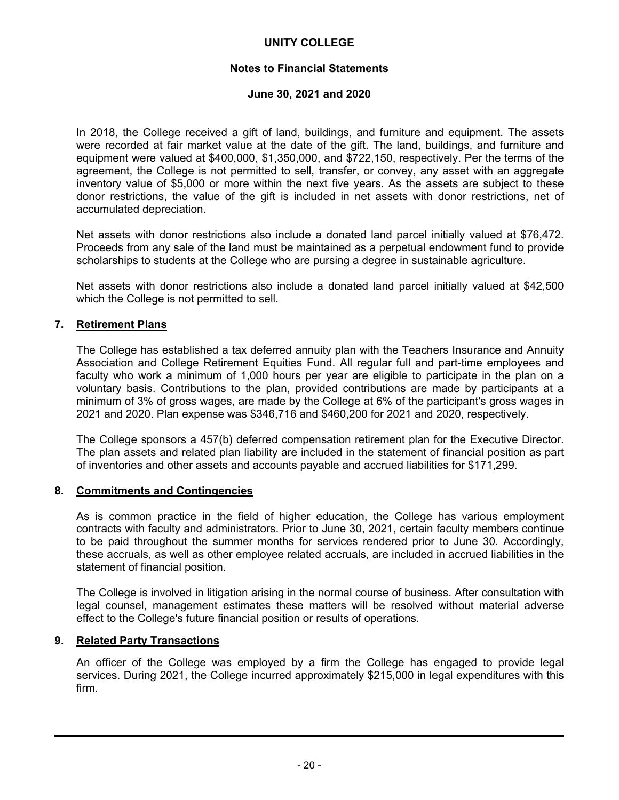# **Notes to Financial Statements**

#### **June 30, 2021 and 2020**

In 2018, the College received a gift of land, buildings, and furniture and equipment. The assets were recorded at fair market value at the date of the gift. The land, buildings, and furniture and equipment were valued at \$400,000, \$1,350,000, and \$722,150, respectively. Per the terms of the agreement, the College is not permitted to sell, transfer, or convey, any asset with an aggregate inventory value of \$5,000 or more within the next five years. As the assets are subject to these donor restrictions, the value of the gift is included in net assets with donor restrictions, net of accumulated depreciation.

Net assets with donor restrictions also include a donated land parcel initially valued at \$76,472. Proceeds from any sale of the land must be maintained as a perpetual endowment fund to provide scholarships to students at the College who are pursing a degree in sustainable agriculture.

Net assets with donor restrictions also include a donated land parcel initially valued at \$42,500 which the College is not permitted to sell.

#### **7. Retirement Plans**

The College has established a tax deferred annuity plan with the Teachers Insurance and Annuity Association and College Retirement Equities Fund. All regular full and part-time employees and faculty who work a minimum of 1,000 hours per year are eligible to participate in the plan on a voluntary basis. Contributions to the plan, provided contributions are made by participants at a minimum of 3% of gross wages, are made by the College at 6% of the participant's gross wages in 2021 and 2020. Plan expense was \$346,716 and \$460,200 for 2021 and 2020, respectively.

The College sponsors a 457(b) deferred compensation retirement plan for the Executive Director. The plan assets and related plan liability are included in the statement of financial position as part of inventories and other assets and accounts payable and accrued liabilities for \$171,299.

#### **8. Commitments and Contingencies**

As is common practice in the field of higher education, the College has various employment contracts with faculty and administrators. Prior to June 30, 2021, certain faculty members continue to be paid throughout the summer months for services rendered prior to June 30. Accordingly, these accruals, as well as other employee related accruals, are included in accrued liabilities in the statement of financial position.

The College is involved in litigation arising in the normal course of business. After consultation with legal counsel, management estimates these matters will be resolved without material adverse effect to the College's future financial position or results of operations.

#### **9. Related Party Transactions**

An officer of the College was employed by a firm the College has engaged to provide legal services. During 2021, the College incurred approximately \$215,000 in legal expenditures with this firm.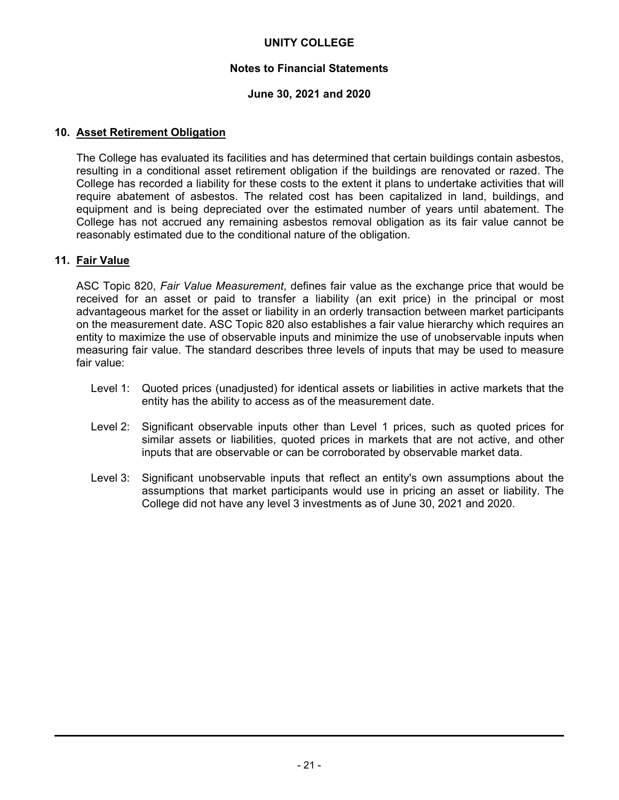# **Notes to Financial Statements**

# **June 30, 2021 and 2020**

# **10. Asset Retirement Obligation**

The College has evaluated its facilities and has determined that certain buildings contain asbestos, resulting in a conditional asset retirement obligation if the buildings are renovated or razed. The College has recorded a liability for these costs to the extent it plans to undertake activities that will require abatement of asbestos. The related cost has been capitalized in land, buildings, and equipment and is being depreciated over the estimated number of years until abatement. The College has not accrued any remaining asbestos removal obligation as its fair value cannot be reasonably estimated due to the conditional nature of the obligation.

# **11. Fair Value**

ASC Topic 820, *Fair Value Measurement*, defines fair value as the exchange price that would be received for an asset or paid to transfer a liability (an exit price) in the principal or most advantageous market for the asset or liability in an orderly transaction between market participants on the measurement date. ASC Topic 820 also establishes a fair value hierarchy which requires an entity to maximize the use of observable inputs and minimize the use of unobservable inputs when measuring fair value. The standard describes three levels of inputs that may be used to measure fair value:

- Level 1: Quoted prices (unadjusted) for identical assets or liabilities in active markets that the entity has the ability to access as of the measurement date.
- Level 2: Significant observable inputs other than Level 1 prices, such as quoted prices for similar assets or liabilities, quoted prices in markets that are not active, and other inputs that are observable or can be corroborated by observable market data.
- Level 3: Significant unobservable inputs that reflect an entity's own assumptions about the assumptions that market participants would use in pricing an asset or liability. The College did not have any level 3 investments as of June 30, 2021 and 2020.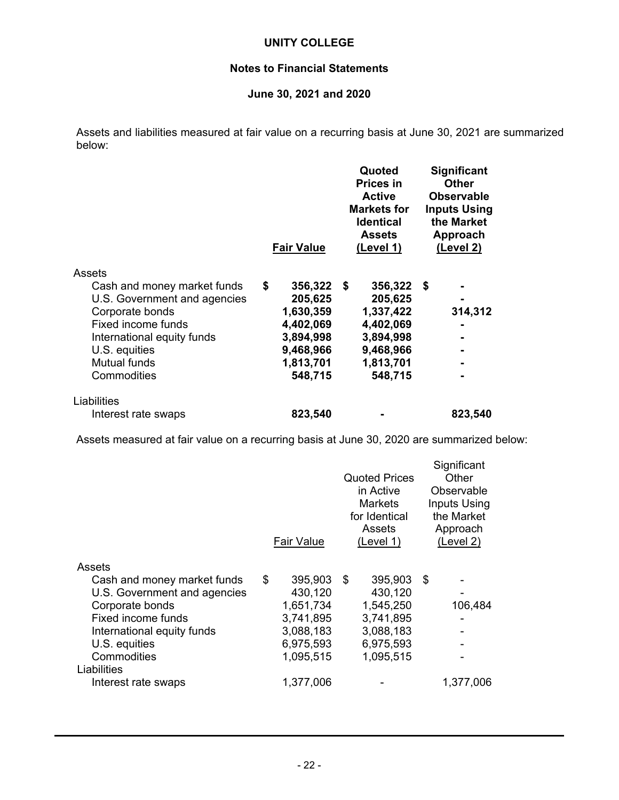# **Notes to Financial Statements**

# **June 30, 2021 and 2020**

Assets and liabilities measured at fair value on a recurring basis at June 30, 2021 are summarized below:

|                              | <b>Fair Value</b> |      | Quoted<br><b>Prices in</b><br><b>Active</b><br><b>Markets for</b><br><b>Identical</b><br><b>Assets</b><br>(Level 1) |      | <b>Significant</b><br><b>Other</b><br><b>Observable</b><br><b>Inputs Using</b><br>the Market<br>Approach<br>(Level 2) |
|------------------------------|-------------------|------|---------------------------------------------------------------------------------------------------------------------|------|-----------------------------------------------------------------------------------------------------------------------|
| Assets                       |                   |      |                                                                                                                     |      |                                                                                                                       |
| Cash and money market funds  | \$<br>356,322     | - \$ | 356,322                                                                                                             | - \$ |                                                                                                                       |
| U.S. Government and agencies | 205,625           |      | 205,625                                                                                                             |      |                                                                                                                       |
| Corporate bonds              | 1,630,359         |      | 1,337,422                                                                                                           |      | 314,312                                                                                                               |
| Fixed income funds           | 4,402,069         |      | 4,402,069                                                                                                           |      |                                                                                                                       |
| International equity funds   | 3,894,998         |      | 3,894,998                                                                                                           |      |                                                                                                                       |
| U.S. equities                | 9,468,966         |      | 9,468,966                                                                                                           |      |                                                                                                                       |
| <b>Mutual funds</b>          | 1,813,701         |      | 1,813,701                                                                                                           |      |                                                                                                                       |
| Commodities                  | 548,715           |      | 548,715                                                                                                             |      |                                                                                                                       |
| Liabilities                  |                   |      |                                                                                                                     |      |                                                                                                                       |
| Interest rate swaps          | 823,540           |      |                                                                                                                     |      | 823,540                                                                                                               |

Assets measured at fair value on a recurring basis at June 30, 2020 are summarized below:

|                              | <b>Fair Value</b> |   | <b>Quoted Prices</b><br>in Active<br><b>Markets</b><br>for Identical<br>Assets<br>(Level 1) |      | Significant<br>Other<br>Observable<br><b>Inputs Using</b><br>the Market<br>Approach<br>(Level 2) |
|------------------------------|-------------------|---|---------------------------------------------------------------------------------------------|------|--------------------------------------------------------------------------------------------------|
| Assets                       |                   |   |                                                                                             |      |                                                                                                  |
| Cash and money market funds  | \$<br>395,903     | S | 395,903                                                                                     | - \$ |                                                                                                  |
| U.S. Government and agencies | 430,120           |   | 430,120                                                                                     |      |                                                                                                  |
| Corporate bonds              | 1,651,734         |   | 1,545,250                                                                                   |      | 106,484                                                                                          |
| Fixed income funds           | 3,741,895         |   | 3,741,895                                                                                   |      |                                                                                                  |
| International equity funds   | 3,088,183         |   | 3,088,183                                                                                   |      |                                                                                                  |
| U.S. equities                | 6,975,593         |   | 6,975,593                                                                                   |      |                                                                                                  |
| Commodities                  | 1,095,515         |   | 1,095,515                                                                                   |      |                                                                                                  |
| Liabilities                  |                   |   |                                                                                             |      |                                                                                                  |
| Interest rate swaps          | 1,377,006         |   |                                                                                             |      | 1,377,006                                                                                        |
|                              |                   |   |                                                                                             |      |                                                                                                  |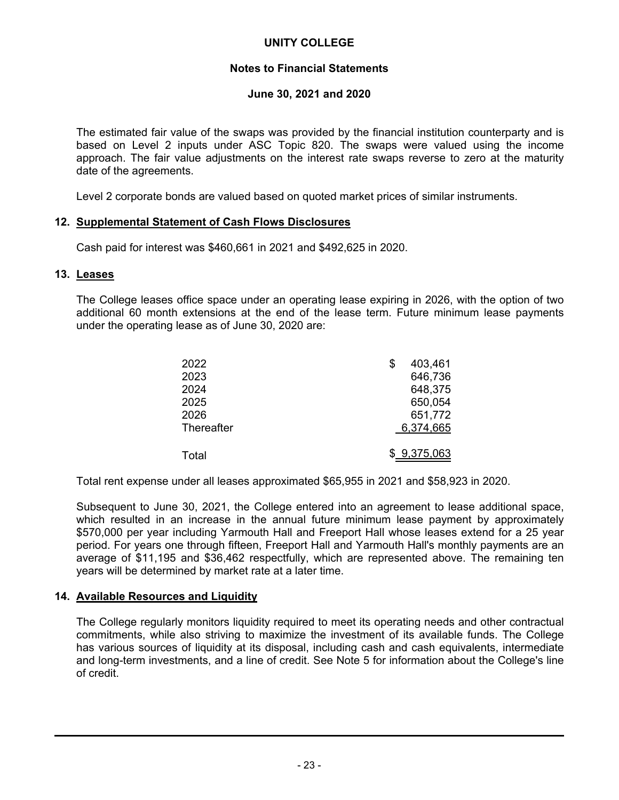# **Notes to Financial Statements**

## **June 30, 2021 and 2020**

The estimated fair value of the swaps was provided by the financial institution counterparty and is based on Level 2 inputs under ASC Topic 820. The swaps were valued using the income approach. The fair value adjustments on the interest rate swaps reverse to zero at the maturity date of the agreements.

Level 2 corporate bonds are valued based on quoted market prices of similar instruments.

#### **12. Supplemental Statement of Cash Flows Disclosures**

Cash paid for interest was \$460,661 in 2021 and \$492,625 in 2020.

#### **13. Leases**

The College leases office space under an operating lease expiring in 2026, with the option of two additional 60 month extensions at the end of the lease term. Future minimum lease payments under the operating lease as of June 30, 2020 are:

| 2022       | S | 403,461     |
|------------|---|-------------|
| 2023       |   | 646,736     |
| 2024       |   | 648,375     |
| 2025       |   | 650,054     |
| 2026       |   | 651,772     |
| Thereafter |   | 6,374,665   |
| Total      |   | \$9,375,063 |

Total rent expense under all leases approximated \$65,955 in 2021 and \$58,923 in 2020.

Subsequent to June 30, 2021, the College entered into an agreement to lease additional space, which resulted in an increase in the annual future minimum lease payment by approximately \$570,000 per year including Yarmouth Hall and Freeport Hall whose leases extend for a 25 year period. For years one through fifteen, Freeport Hall and Yarmouth Hall's monthly payments are an average of \$11,195 and \$36,462 respectfully, which are represented above. The remaining ten years will be determined by market rate at a later time.

#### **14. Available Resources and Liquidity**

The College regularly monitors liquidity required to meet its operating needs and other contractual commitments, while also striving to maximize the investment of its available funds. The College has various sources of liquidity at its disposal, including cash and cash equivalents, intermediate and long-term investments, and a line of credit. See Note 5 for information about the College's line of credit.